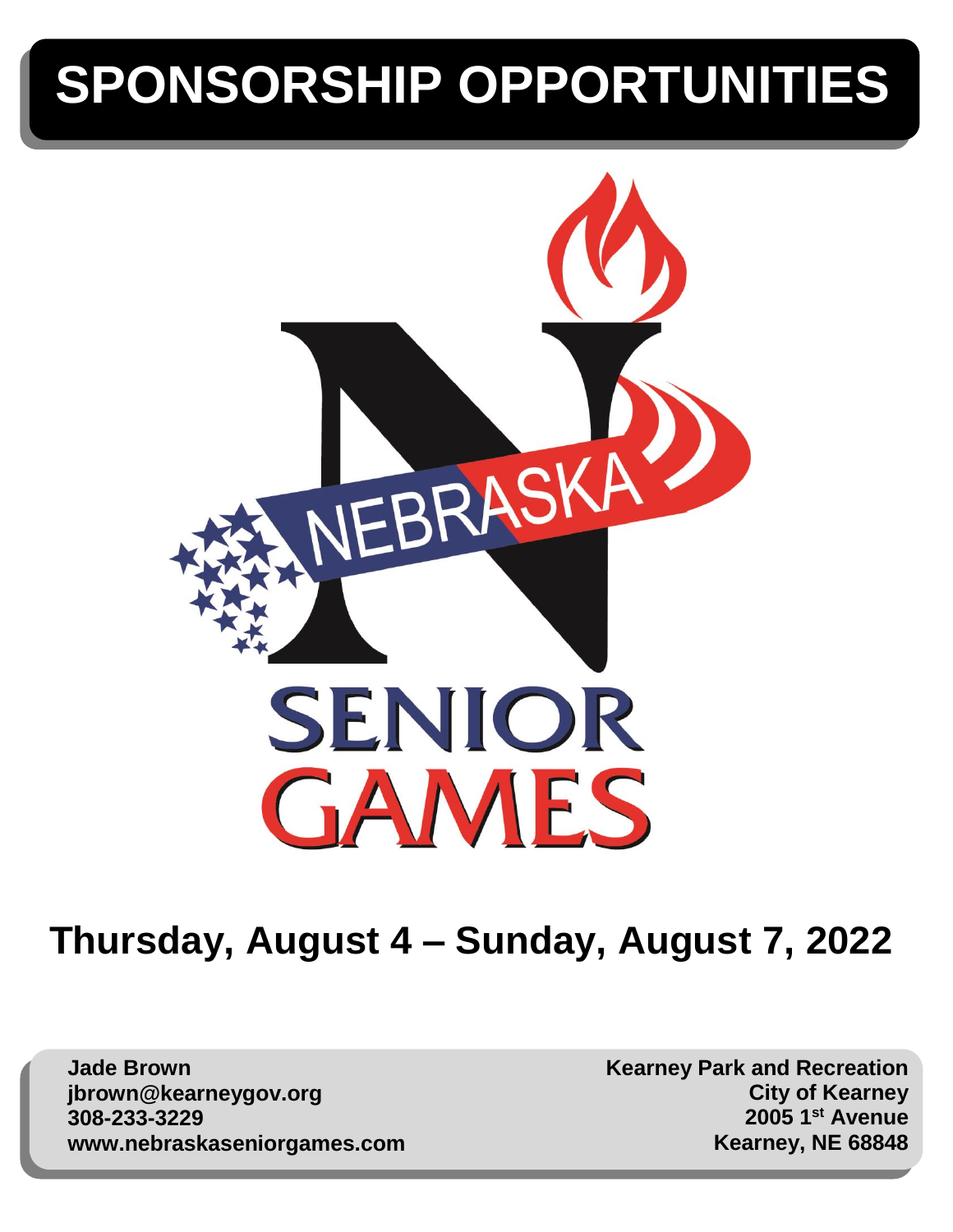# **SPONSORSHIP OPPORTUNITIES**



# **Thursday, August 4 – Sunday, August 7, 2022**

**Jade Brown jbrown@kearneygov.org 308-233-3229 www.nebraskaseniorgames.com** **Kearney Park and Recreation City of Kearney 2005 1st Avenue Kearney, NE 68848**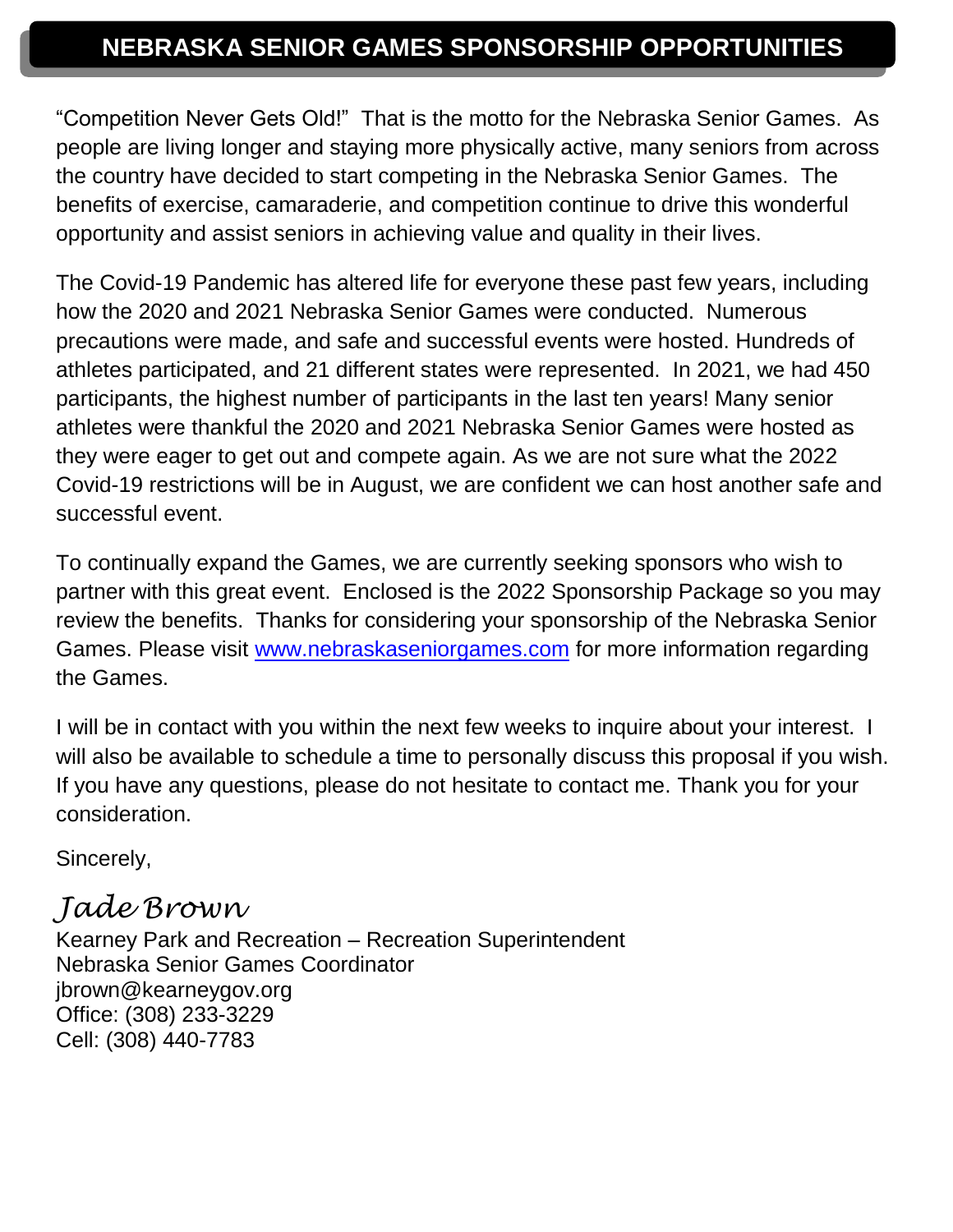# **NEBRASKA SENIOR GAMES SPONSORSHIP OPPORTUNITIES**

"Competition Never Gets Old!" That is the motto for the Nebraska Senior Games. As people are living longer and staying more physically active, many seniors from across the country have decided to start competing in the Nebraska Senior Games. The benefits of exercise, camaraderie, and competition continue to drive this wonderful opportunity and assist seniors in achieving value and quality in their lives.

The Covid-19 Pandemic has altered life for everyone these past few years, including how the 2020 and 2021 Nebraska Senior Games were conducted. Numerous precautions were made, and safe and successful events were hosted. Hundreds of athletes participated, and 21 different states were represented. In 2021, we had 450 participants, the highest number of participants in the last ten years! Many senior athletes were thankful the 2020 and 2021 Nebraska Senior Games were hosted as they were eager to get out and compete again. As we are not sure what the 2022 Covid-19 restrictions will be in August, we are confident we can host another safe and successful event.

To continually expand the Games, we are currently seeking sponsors who wish to partner with this great event. Enclosed is the 2022 Sponsorship Package so you may review the benefits. Thanks for considering your sponsorship of the Nebraska Senior Games. Please visit [www.nebraskaseniorgames.com](http://www.nebraskaseniorgames.com/) for more information regarding the Games.

I will be in contact with you within the next few weeks to inquire about your interest. I will also be available to schedule a time to personally discuss this proposal if you wish. If you have any questions, please do not hesitate to contact me. Thank you for your consideration.

Sincerely,

# *Jade Brown*

Kearney Park and Recreation – Recreation Superintendent Nebraska Senior Games Coordinator jbrown@kearneygov.org Office: (308) 233-3229 Cell: (308) 440-7783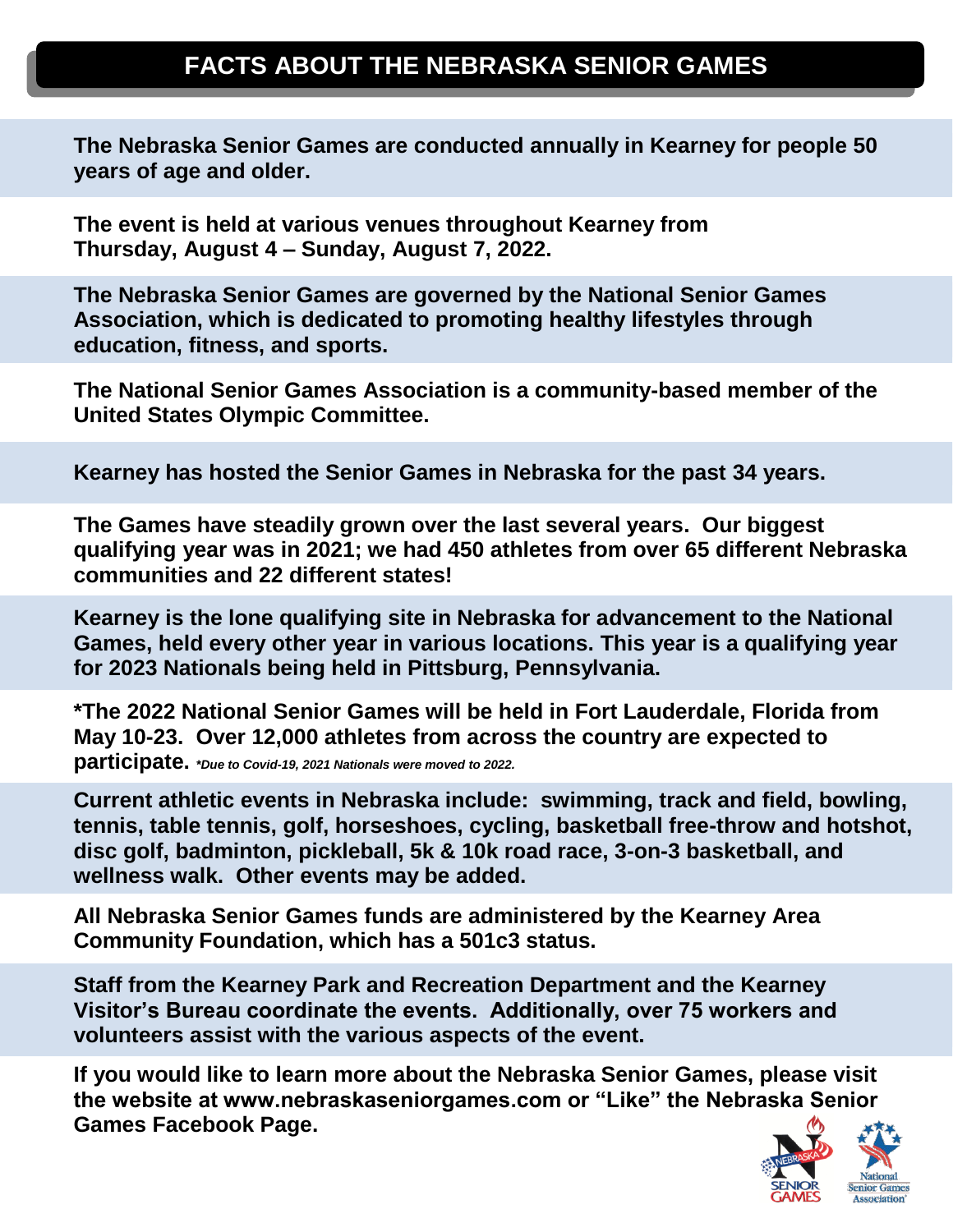## **FACTS ABOUT THE NEBRASKA SENIOR GAMES**

**The Nebraska Senior Games are conducted annually in Kearney for people 50 years of age and older.** 

**The event is held at various venues throughout Kearney from Thursday, August 4 – Sunday, August 7, 2022.**

**The Nebraska Senior Games are governed by the National Senior Games Association, which is dedicated to promoting healthy lifestyles through education, fitness, and sports.** 

**The National Senior Games Association is a community-based member of the United States Olympic Committee.**

**Kearney has hosted the Senior Games in Nebraska for the past 34 years.**

**The Games have steadily grown over the last several years. Our biggest qualifying year was in 2021; we had 450 athletes from over 65 different Nebraska communities and 22 different states!** 

**Kearney is the lone qualifying site in Nebraska for advancement to the National Games, held every other year in various locations. This year is a qualifying year for 2023 Nationals being held in Pittsburg, Pennsylvania.** 

**\*The 2022 National Senior Games will be held in Fort Lauderdale, Florida from May 10-23. Over 12,000 athletes from across the country are expected to participate.** *\*Due to Covid-19, 2021 Nationals were moved to 2022.* 

**Current athletic events in Nebraska include: swimming, track and field, bowling, tennis, table tennis, golf, horseshoes, cycling, basketball free-throw and hotshot, disc golf, badminton, pickleball, 5k & 10k road race, 3-on-3 basketball, and wellness walk. Other events may be added.**

**All Nebraska Senior Games funds are administered by the Kearney Area Community Foundation, which has a 501c3 status.**

**Staff from the Kearney Park and Recreation Department and the Kearney Visitor's Bureau coordinate the events. Additionally, over 75 workers and volunteers assist with the various aspects of the event.**

**If you would like to learn more about the Nebraska Senior Games, please visit the website at www.nebraskaseniorgames.com or "Like" the Nebraska Senior Games Facebook Page.** 

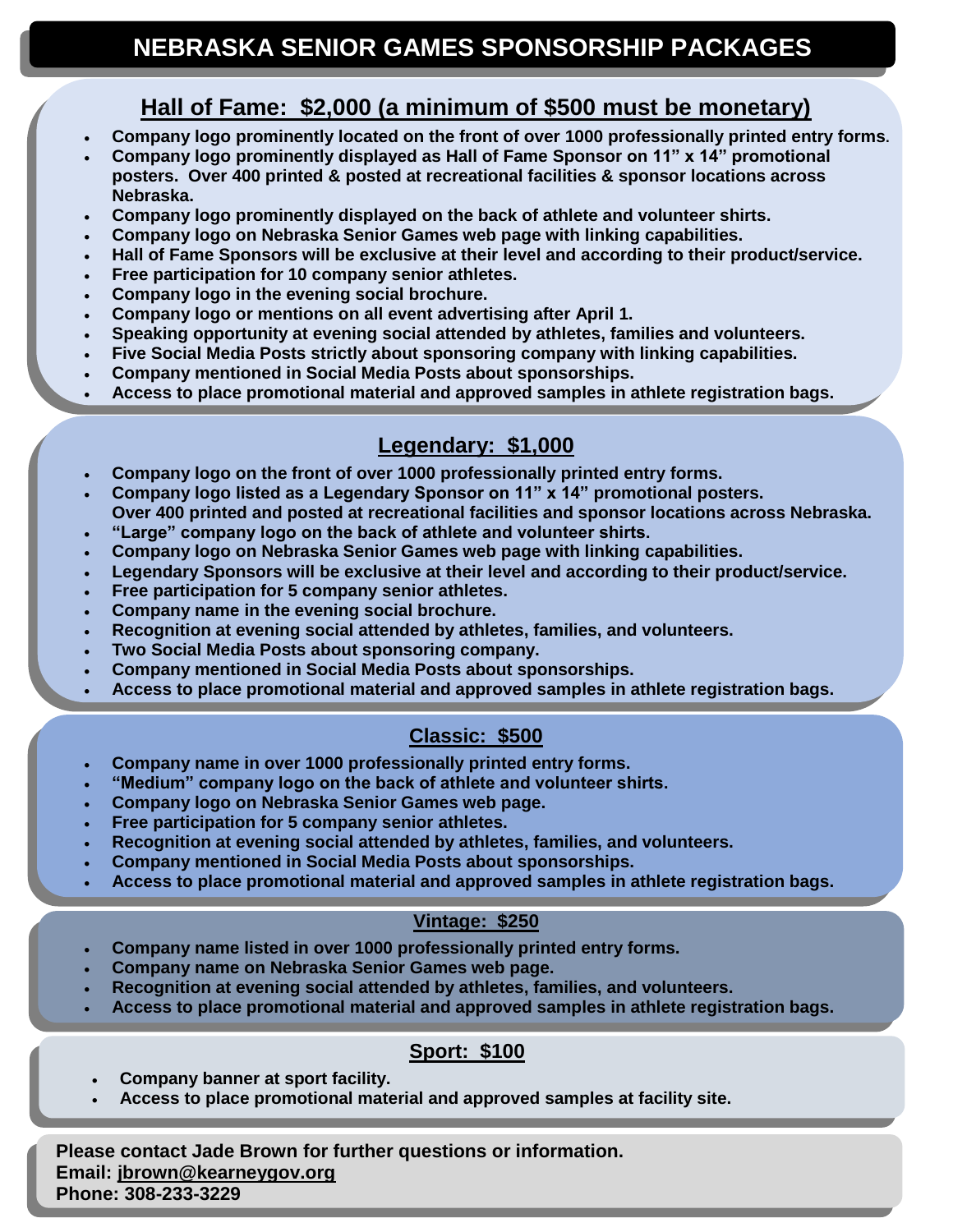#### **Hall of Fame: \$2,000 (a minimum of \$500 must be monetary)**

- **Company logo prominently located on the front of over 1000 professionally printed entry forms.**
- **Company logo prominently displayed as Hall of Fame Sponsor on 11" x 14" promotional posters. Over 400 printed & posted at recreational facilities & sponsor locations across Nebraska.**
- **Company logo prominently displayed on the back of athlete and volunteer shirts.**
- **Company logo on Nebraska Senior Games web page with linking capabilities.**
- **Hall of Fame Sponsors will be exclusive at their level and according to their product/service.**
- **Free participation for 10 company senior athletes.**
- **Company logo in the evening social brochure.**

- **Company logo or mentions on all event advertising after April 1.**
- **Speaking opportunity at evening social attended by athletes, families and volunteers.**
- **Five Social Media Posts strictly about sponsoring company with linking capabilities.**
- **Company mentioned in Social Media Posts about sponsorships.**
- **Access to place promotional material and approved samples in athlete registration bags.**

#### **Legendary: \$1,000**

- **Company logo on the front of over 1000 professionally printed entry forms.**
- **Company logo listed as a Legendary Sponsor on 11" x 14" promotional posters.**
- **Over 400 printed and posted at recreational facilities and sponsor locations across Nebraska.** • **"Large" company logo on the back of athlete and volunteer shirts.**
- **Company logo on Nebraska Senior Games web page with linking capabilities.**
- **Legendary Sponsors will be exclusive at their level and according to their product/service.**
- **Free participation for 5 company senior athletes.**
- **Company name in the evening social brochure.**
- **Recognition at evening social attended by athletes, families, and volunteers.**
- **Two Social Media Posts about sponsoring company.**
- **Company mentioned in Social Media Posts about sponsorships.**
- **Access to place promotional material and approved samples in athlete registration bags.**

#### **Classic: \$500**

- **Company name in over 1000 professionally printed entry forms.**
- **"Medium" company logo on the back of athlete and volunteer shirts.**
- **Company logo on Nebraska Senior Games web page.**
- **Free participation for 5 company senior athletes.**
- **Recognition at evening social attended by athletes, families, and volunteers.**
- **Company mentioned in Social Media Posts about sponsorships.**
- **Access to place promotional material and approved samples in athlete registration bags.**

#### **Vintage: \$250**

- **Company name listed in over 1000 professionally printed entry forms.**
- **Company name on Nebraska Senior Games web page.**
- **Recognition at evening social attended by athletes, families, and volunteers.**
- **Access to place promotional material and approved samples in athlete registration bags.**

#### **Sport: \$100**

- **Company banner at sport facility.**
- **Access to place promotional material and approved samples at facility site.**

**Please contact Jade Brown for further questions or information. Email: [jbrown@kearneygov.org](mailto:jbrown@kearneygov.org) Phone: 308-233-3229**